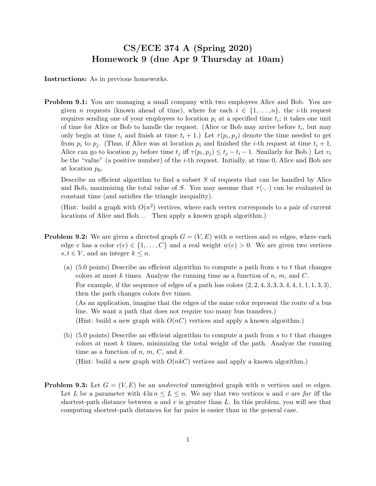## CS/ECE 374 A (Spring 2020) Homework 9 (due Apr 9 Thursday at 10am)

Instructions: As in previous homeworks.

**Problem 9.1:** You are managing a small company with two employees Alice and Bob. You are given n requests (known ahead of time), where for each  $i \in \{1, \ldots, n\}$ , the *i*-th request requires sending one of your employees to location  $p_i$  at a specified time  $t_i$ ; it takes one unit of time for Alice or Bob to handle the request. (Alice or Bob may arrive before  $t_i$ , but may only begin at time  $t_i$  and finish at time  $t_i + 1$ .) Let  $\tau(p_i, p_j)$  denote the time needed to get from  $p_i$  to  $p_j$ . (Thus, if Alice was at location  $p_i$  and finished the *i*-th request at time  $t_i + 1$ , Alice can go to location  $p_j$  before time  $t_j$  iff  $\tau(p_i, p_j) \le t_j - t_i - 1$ . Similarly for Bob.) Let  $v_i$ be the "value" (a positive number) of the *i*-th request. Initially, at time 0, Alice and Bob are at location  $p_0$ .

Describe an efficient algorithm to find a subset  $S$  of requests that can be handled by Alice and Bob, maximizing the total value of S. You may assume that  $\tau(\cdot, \cdot)$  can be evaluated in constant time (and satisfies the triangle inequality).

(Hint: build a graph with  $O(n^2)$  vertices, where each vertex corresponds to a pair of current locations of Alice and Bob... Then apply a known graph algorithm.)

- **Problem 9.2:** We are given a directed graph  $G = (V, E)$  with n vertices and m edges, where each edge e has a color  $c(e) \in \{1, \ldots, C\}$  and a real weight  $w(e) > 0$ . We are given two vertices  $s, t \in V$ , and an integer  $k \leq n$ .
	- (a)  $(5.0 \text{ points})$  Describe an efficient algorithm to compute a path from s to t that changes colors at most k times. Analyze the running time as a function of  $n, m$ , and C. For example, if the sequence of edges of a path has colors  $\langle 2, 2, 4, 3, 3, 3, 4, 4, 1, 1, 1, 3, 3 \rangle$ , then the path changes colors five times.

(As an application, imagine that the edges of the same color represent the route of a bus line. We want a path that does not require too many bus transfers.)

(Hint: build a new graph with  $O(nC)$  vertices and apply a known algorithm.)

(b)  $(5.0 \text{ points})$  Describe an efficient algorithm to compute a path from s to t that changes colors at most  $k$  times, minimizing the total weight of the path. Analyze the running time as a function of  $n, m, C$ , and  $k$ .

(Hint: build a new graph with  $O(nkC)$  vertices and apply a known algorithm.)

**Problem 9.3:** Let  $G = (V, E)$  be an *undirected* unweighted graph with *n* vertices and *m* edges. Let L be a parameter with  $4 \ln n \leq L \leq n$ . We say that two vertices u and v are far iff the shortest-path distance between u and v is greater than L. In this problem, you will see that computing shortest-path distances for far pairs is easier than in the general case.